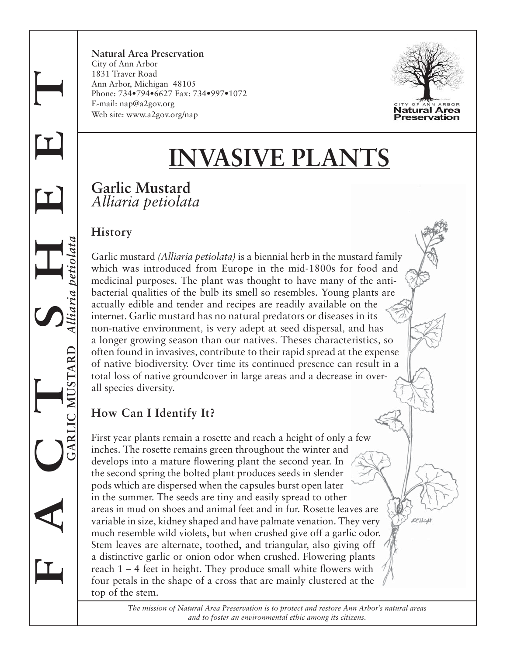**Natural Area Preservation** City of Ann Arbor 1831 Traver Road Ann Arbor, Michigan 48105 Phone: 734•794•6627 Fax: 734•997•1072 E-mail: nap@a2gov.org Web site: www.a2gov.org/nap



 $O^{\circ}$ bland

# **INVASIVE PLANTS**

#### **Garlic Mustard** *Alliaria petiolata*

#### **History**

**F A C T S H E E T**

**GARLIC MUSTARD** *Alliaria petiolata*

Garlic mustard *(Alliaria petiolata)* is a biennial herb in the mustard family which was introduced from Europe in the mid-1800s for food and medicinal purposes. The plant was thought to have many of the antibacterial qualities of the bulb its smell so resembles. Young plants are actually edible and tender and recipes are readily available on the internet. Garlic mustard has no natural predators or diseases in its non-native environment, is very adept at seed dispersal, and has a longer growing season than our natives. Theses characteristics, so often found in invasives, contribute to their rapid spread at the expense of native biodiversity. Over time its continued presence can result in a total loss of native groundcover in large areas and a decrease in overall species diversity.

# **How Can I Identify It?**

First year plants remain a rosette and reach a height of only a few inches. The rosette remains green throughout the winter and develops into a mature flowering plant the second year. In the second spring the bolted plant produces seeds in slender pods which are dispersed when the capsules burst open later in the summer. The seeds are tiny and easily spread to other areas in mud on shoes and animal feet and in fur. Rosette leaves are variable in size, kidney shaped and have palmate venation. They very much resemble wild violets, but when crushed give off a garlic odor. Stem leaves are alternate, toothed, and triangular, also giving off a distinctive garlic or onion odor when crushed. Flowering plants reach  $1 - 4$  feet in height. They produce small white flowers with four petals in the shape of a cross that are mainly clustered at the top of the stem.

> *The mission of Natural Area Preservation is to protect and restore Ann Arbor's natural areas and to foster an environmental ethic among its citizens.*